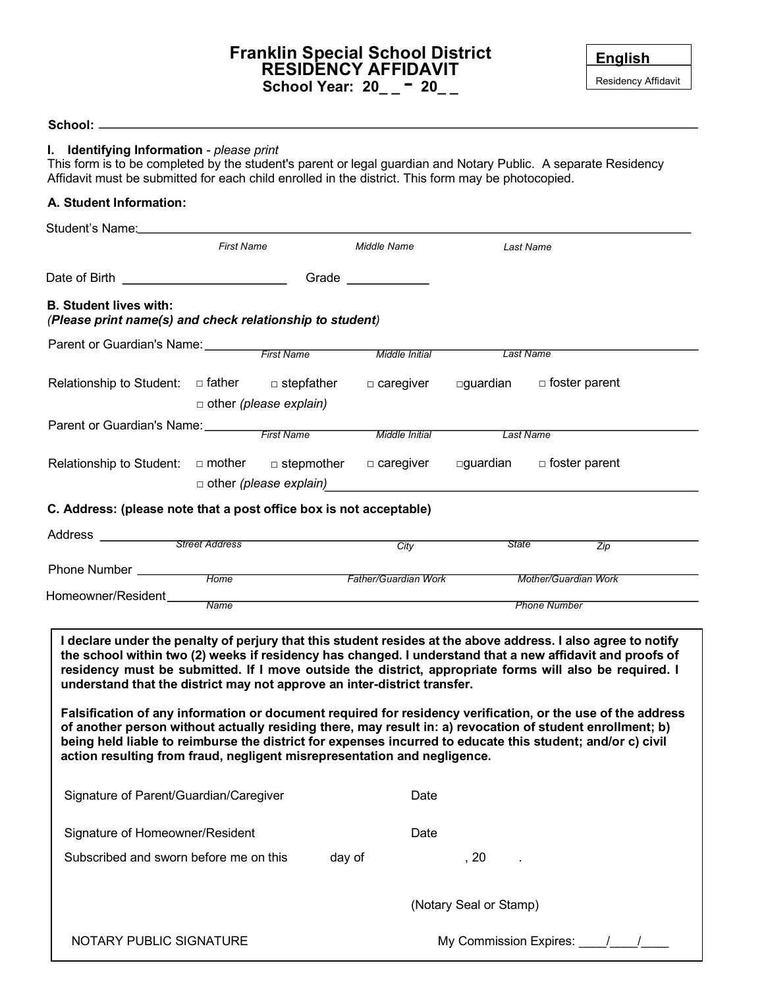## **Franklin Special School District RESIDENCY AFFIDAVIT School Year: 20\_ \_** - **20\_ \_**

| <b>English</b>      |
|---------------------|
| Residency Affidavit |

| I. Identifying Information - please print<br>Affidavit must be submitted for each child enrolled in the district. This form may be photocopied.      |                                       |                               |                            |                             | This form is to be completed by the student's parent or legal guardian and Notary Public. A separate Residency                                                                                                                                                                                                                                                                                                                                                                                                                                                                                                                                                                  |  |
|------------------------------------------------------------------------------------------------------------------------------------------------------|---------------------------------------|-------------------------------|----------------------------|-----------------------------|---------------------------------------------------------------------------------------------------------------------------------------------------------------------------------------------------------------------------------------------------------------------------------------------------------------------------------------------------------------------------------------------------------------------------------------------------------------------------------------------------------------------------------------------------------------------------------------------------------------------------------------------------------------------------------|--|
| A. Student Information:                                                                                                                              |                                       |                               |                            |                             |                                                                                                                                                                                                                                                                                                                                                                                                                                                                                                                                                                                                                                                                                 |  |
|                                                                                                                                                      |                                       |                               |                            |                             |                                                                                                                                                                                                                                                                                                                                                                                                                                                                                                                                                                                                                                                                                 |  |
|                                                                                                                                                      | <b>First Name</b>                     |                               | Middle Name                |                             | Last Name                                                                                                                                                                                                                                                                                                                                                                                                                                                                                                                                                                                                                                                                       |  |
| Date of Birth ___________________________                                                                                                            |                                       |                               | Grade ____________         |                             |                                                                                                                                                                                                                                                                                                                                                                                                                                                                                                                                                                                                                                                                                 |  |
| <b>B. Student lives with:</b><br>(Please print name(s) and check relationship to student)                                                            |                                       |                               |                            |                             |                                                                                                                                                                                                                                                                                                                                                                                                                                                                                                                                                                                                                                                                                 |  |
| Parent or Guardian's Name: First Name                                                                                                                |                                       |                               | Middle Initial             |                             | <b>Last Name</b>                                                                                                                                                                                                                                                                                                                                                                                                                                                                                                                                                                                                                                                                |  |
|                                                                                                                                                      |                                       |                               |                            |                             |                                                                                                                                                                                                                                                                                                                                                                                                                                                                                                                                                                                                                                                                                 |  |
| Relationship to Student: $\Box$ father $\Box$ stepfather                                                                                             |                                       |                               | $\Box$ caregiver           | □guardian                   | $\Box$ foster parent                                                                                                                                                                                                                                                                                                                                                                                                                                                                                                                                                                                                                                                            |  |
|                                                                                                                                                      |                                       | $\Box$ other (please explain) |                            |                             |                                                                                                                                                                                                                                                                                                                                                                                                                                                                                                                                                                                                                                                                                 |  |
|                                                                                                                                                      | Parent or Guardian's Name: First Name |                               | Middle Initial             |                             | <b>Last Name</b>                                                                                                                                                                                                                                                                                                                                                                                                                                                                                                                                                                                                                                                                |  |
| Relationship to Student: $\Box$ mother $\Box$ stepmother                                                                                             |                                       |                               | □ caregiver                | □guardian                   | $\Box$ foster parent                                                                                                                                                                                                                                                                                                                                                                                                                                                                                                                                                                                                                                                            |  |
|                                                                                                                                                      |                                       | $\Box$ other (please explain) |                            |                             |                                                                                                                                                                                                                                                                                                                                                                                                                                                                                                                                                                                                                                                                                 |  |
| C. Address: (please note that a post office box is not acceptable)                                                                                   |                                       |                               |                            |                             |                                                                                                                                                                                                                                                                                                                                                                                                                                                                                                                                                                                                                                                                                 |  |
| Address                                                                                                                                              | <b>Street Address</b>                 |                               |                            | <b>State</b>                |                                                                                                                                                                                                                                                                                                                                                                                                                                                                                                                                                                                                                                                                                 |  |
|                                                                                                                                                      |                                       |                               | City                       |                             | Zip                                                                                                                                                                                                                                                                                                                                                                                                                                                                                                                                                                                                                                                                             |  |
| Phone Number ________                                                                                                                                | Home                                  |                               | Father/Guardian Work       | <b>Mother/Guardian Work</b> |                                                                                                                                                                                                                                                                                                                                                                                                                                                                                                                                                                                                                                                                                 |  |
| Homeowner/Resident                                                                                                                                   | <b>Name</b>                           |                               | <b>Phone Number</b>        |                             |                                                                                                                                                                                                                                                                                                                                                                                                                                                                                                                                                                                                                                                                                 |  |
| understand that the district may not approve an inter-district transfer.<br>action resulting from fraud, negligent misrepresentation and negligence. |                                       |                               |                            |                             | I declare under the penalty of perjury that this student resides at the above address. I also agree to notify<br>the school within two (2) weeks if residency has changed. I understand that a new affidavit and proofs of<br>residency must be submitted. If I move outside the district, appropriate forms will also be required. I<br>Falsification of any information or document required for residency verification, or the use of the address<br>of another person without actually residing there, may result in: a) revocation of student enrollment; b)<br>being held liable to reimburse the district for expenses incurred to educate this student; and/or c) civil |  |
| Signature of Parent/Guardian/Caregiver                                                                                                               |                                       |                               | Date                       |                             |                                                                                                                                                                                                                                                                                                                                                                                                                                                                                                                                                                                                                                                                                 |  |
| Signature of Homeowner/Resident                                                                                                                      |                                       |                               | Date                       |                             |                                                                                                                                                                                                                                                                                                                                                                                                                                                                                                                                                                                                                                                                                 |  |
| Subscribed and sworn before me on this                                                                                                               |                                       |                               | day of                     | , 20                        |                                                                                                                                                                                                                                                                                                                                                                                                                                                                                                                                                                                                                                                                                 |  |
|                                                                                                                                                      |                                       |                               |                            | (Notary Seal or Stamp)      |                                                                                                                                                                                                                                                                                                                                                                                                                                                                                                                                                                                                                                                                                 |  |
| NOTARY PUBLIC SIGNATURE                                                                                                                              |                                       |                               | My Commission Expires: 1 1 |                             |                                                                                                                                                                                                                                                                                                                                                                                                                                                                                                                                                                                                                                                                                 |  |